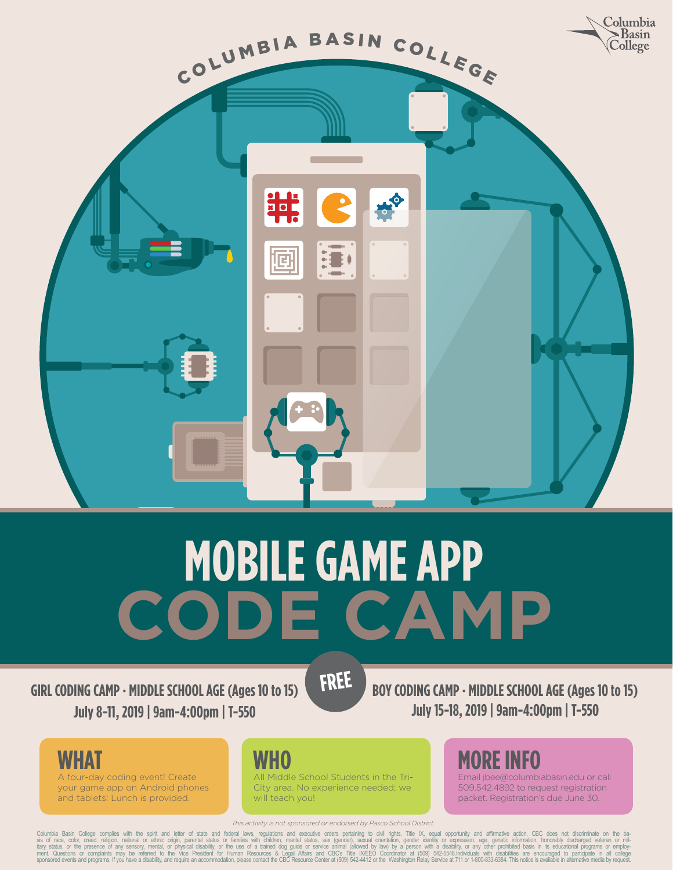

# **MOBILE GAME APP<br>
ADDE CAN CODE CAMP**

**FREE**

**GIRL CODING CAMP · MIDDLE SCHOOL AGE (Ages 10 to 15) July 8-11, 2019 | 9am-4:00pm | T-550**

**BOY CODING CAMP · MIDDLE SCHOOL AGE (Ages 10 to 15) July 15-18, 2019 | 9am-4:00pm | T-550**

**WHAT**

A four-day coding event! Create your game app on Android phones and tablets! Lunch is provided.

#### **WHO**

All Middle School Students in the Tri-City area. No experience needed; we will teach you!

*This activity is not sponsored or endorsed by Pasco School District.*

Columbia Basin College complies with the spirit and letter of state and federal laws, regulations and executive orders pertaining to circle IX, equal opportunity and affirmation college conditions, marinal exergences of an

**MORE INFO**

Email jbee@columbiabasin.edu or call 509.542.4892 to request registration packet. Registration's due June 30.